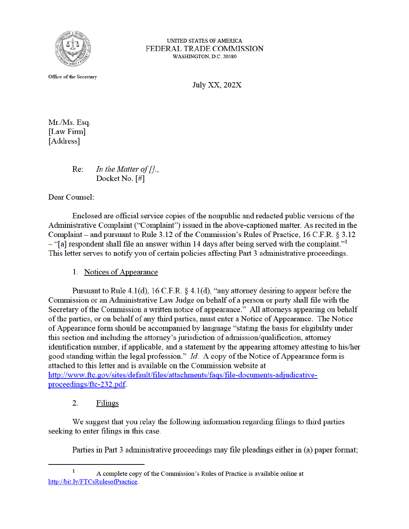

UNITED STATES OF AMERICA FEDERAL TRADE COMMISSION WASHINGTON, D.C. 20580

Office of the Secretary

**July XX, 202X** 

Mr./Ms. Esq. [Law Firm] [Address]

> $Re:$ In the Matter of  $[]$ ., Docket No. [#]

Dear Counsel:

Enclosed are official service copies of the nonpublic and redacted public versions of the Administrative Complaint ("Complaint") issued in the above-captioned matter. As recited in the Complaint – and pursuant to Rule 3.12 of the Commission's Rules of Practice, 16 C.F.R. § 3.12 - "[a] respondent shall file an answer within 14 days after being served with the complaint."<sup>1</sup> This letter serves to notify you of certain policies affecting Part 3 administrative proceedings.

1. Notices of Appearance

Pursuant to Rule 4.1(d), 16 C.F.R.  $\S$  4.1(d), "any attorney desiring to appear before the Commission or an Administrative Law Judge on behalf of a person or party shall file with the Secretary of the Commission a written notice of appearance." All attorneys appearing on behalf of the parties, or on behalf of any third parties, must enter a Notice of Appearance. The Notice of Appearance form should be accompanied by language "stating the basis for eligibility under this section and including the attorney's jurisdiction of admission/qualification, attorney identification number, if applicable, and a statement by the appearing attorney attesting to his/her good standing within the legal profession." Id. A copy of the Notice of Appearance form is attached to this letter and is available on the Commission website at http://www.ftc.gov/sites/default/files/attachments/faqs/file-documents-adjudicativeproceedings/ftc-232.pdf.

 $2<sub>1</sub>$ Filings

We suggest that you relay the following information regarding filings to third parties seeking to enter filings in this case.

Parties in Part 3 administrative proceedings may file pleadings either in (a) paper format;

 $\mathbf{1}$ A complete copy of the Commission's Rules of Practice is available online at http://bit.ly/FTCsRulesofPractice.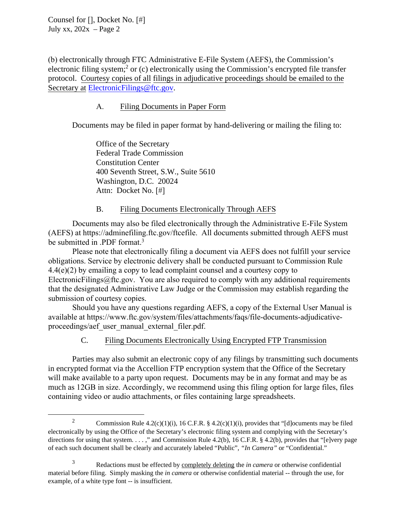Counsel for [], Docket No. [#] July xx,  $202x - Page 2$ 

electronic filing system;<sup>2</sup> or (c) electronically using the Commission's encrypted file transfer (b) electronically through FTC Administrative E-File System (AEFS), the Commission's protocol. Courtesy copies of all filings in adjudicative proceedings should be emailed to the Secretary at ElectronicFilings@ftc.gov.

# A. Filing Documents in Paper Form

Documents may be filed in paper format by hand-delivering or mailing the filing to:

Office of the Secretary Federal Trade Commission Constitution Center 400 Seventh Street, S.W., Suite 5610 Washington, D.C. 20024 Attn: Docket No. [#]

# B. Filing Documents Electronically Through AEFS

Documents may also be filed electronically through the Administrative E-File System (AEFS) at https://adminefiling.ftc.gov/ftcefile. All documents submitted through AEFS must be submitted in .PDF format.<sup>3</sup>

obligations. Service by electronic delivery shall be conducted pursuant to Commission Rule  $4.4(c)(2)$  by emailing a convete lead countlist council and a context convete. Please note that electronically filing a document via AEFS does not fulfill your service 4.4(e)(2) by emailing a copy to lead complaint counsel and a courtesy copy to ElectronicFilings@ftc.gov. You are also required to comply with any additional requirements that the designated Administrative Law Judge or the Commission may establish regarding the submission of courtesy copies.

Should you have any questions regarding AEFS, a copy of the External User Manual is available at https://www.ftc.gov/system/files/attachments/faqs/file-documents-adjudicativeproceedings/aef\_user\_manual\_external\_filer.pdf.

### C. Filing Documents Electronically Using Encrypted FTP Transmission

Parties may also submit an electronic copy of any filings by transmitting such documents in encrypted format via the Accellion FTP encryption system that the Office of the Secretary will make available to a party upon request. Documents may be in any format and may be as much as 12GB in size. Accordingly, we recommend using this filing option for large files, files containing video or audio attachments, or files containing large spreadsheets.

<sup>&</sup>lt;sup>2</sup> Commission Rule 4.2(c)(1)(i), 16 C.F.R. § 4.2(c)(1)(i), provides that "[d]ocuments may be filed electronically by using the Office of the Secretary's electronic filing system and complying with the Secretary's directions for using that system. . . . ," and Commission Rule 4.2(b), 16 C.F.R. § 4.2(b), provides that "[e]very page of each such document shall be clearly and accurately labeled "Public", *"In Camera"* or "Confidential."

 3 Redactions must be effected by completely deleting the *in camera* or otherwise confidential material before filing. Simply masking the *in camera* or otherwise confidential material -- through the use, for example, of a white type font -- is insufficient.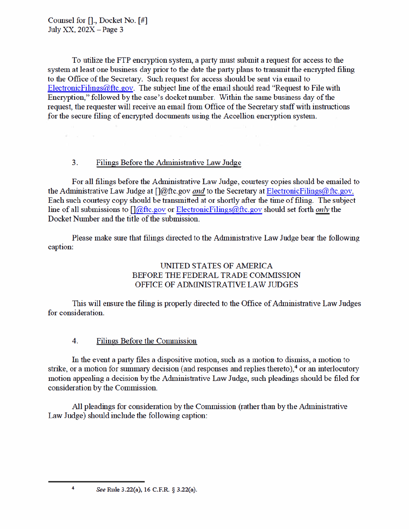$\mathcal{R}^{\prime}=\mathcal{R}^{\prime}$ 

To utilize the FTP encryption system, a party must submit a request for access to the system at least one business day prior to the date the party plans to transmit the encrypted filing to the Office of the Secretary. Such request for access should be sent via email to Electronic Filings  $@$  ftc.gov. The subject line of the email should read "Request to File with Encryption," followed by the case's docket number. Within the same business day of the request, the requester will receive an email from Office of the Secretary staff with instructions for the secure filing of encrypted documents using the Accellion encryption system.

### $3<sub>1</sub>$ Filings Before the Administrative Law Judge

For all filings before the Administrative Law Judge, courtesy copies should be emailed to the Administrative Law Judge at  $\int |\omega|$  ftc.gov and to the Secretary at Electronic Filings  $\omega$  ftc.gov. Each such courtesy copy should be transmitted at or shortly after the time of filing. The subject line of all submissions to  $\iint \omega$ ftc.gov or Electronic Filings  $\omega$ ftc.gov should set forth *only* the Docket Number and the title of the submission.

Please make sure that filings directed to the Administrative Law Judge bear the following caption:

# UNITED STATES OF AMERICA BEFORE THE FEDERAL TRADE COMMISSION OFFICE OF ADMINISTRATIVE LAW JUDGES

This will ensure the filing is properly directed to the Office of Administrative Law Judges for consideration.

#### $\overline{4}$ **Filings Before the Commission**

In the event a party files a dispositive motion, such as a motion to dismiss, a motion to strike, or a motion for summary decision (and responses and replies thereto),<sup>4</sup> or an interlocutory motion appealing a decision by the Administrative Law Judge, such pleadings should be filed for consideration by the Commission.

All pleadings for consideration by the Commission (rather than by the Administrative Law Judge) should include the following caption:

 $\overline{A}$ 

See Rule 3.22(a), 16 C.F.R. § 3.22(a).